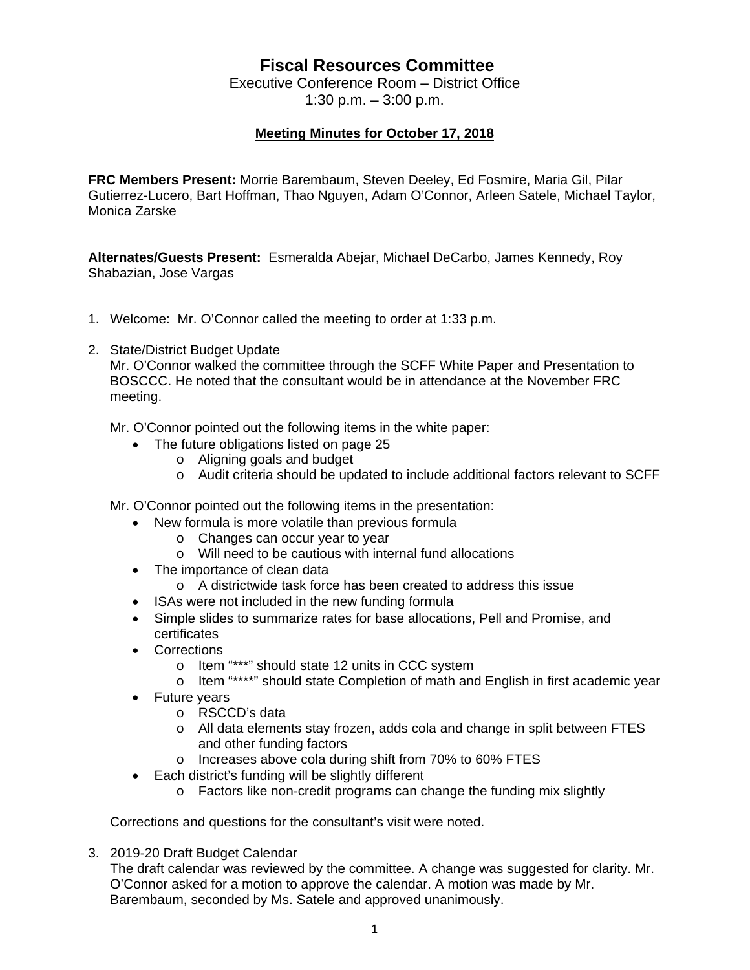## **Fiscal Resources Committee**

Executive Conference Room – District Office 1:30 p.m. – 3:00 p.m.

## **Meeting Minutes for October 17, 2018**

**FRC Members Present:** Morrie Barembaum, Steven Deeley, Ed Fosmire, Maria Gil, Pilar Gutierrez-Lucero, Bart Hoffman, Thao Nguyen, Adam O'Connor, Arleen Satele, Michael Taylor, Monica Zarske

**Alternates/Guests Present:** Esmeralda Abejar, Michael DeCarbo, James Kennedy, Roy Shabazian, Jose Vargas

- 1. Welcome: Mr. O'Connor called the meeting to order at 1:33 p.m.
- 2. State/District Budget Update

Mr. O'Connor walked the committee through the SCFF White Paper and Presentation to BOSCCC. He noted that the consultant would be in attendance at the November FRC meeting.

Mr. O'Connor pointed out the following items in the white paper:

- The future obligations listed on page 25
	- o Aligning goals and budget
	- o Audit criteria should be updated to include additional factors relevant to SCFF

Mr. O'Connor pointed out the following items in the presentation:

- New formula is more volatile than previous formula
	- o Changes can occur year to year
	- o Will need to be cautious with internal fund allocations
- The importance of clean data
	- o A districtwide task force has been created to address this issue
- ISAs were not included in the new funding formula
- Simple slides to summarize rates for base allocations, Pell and Promise, and certificates
- Corrections
	- o Item "\*\*\*" should state 12 units in CCC system
	- o Item "\*\*\*\*" should state Completion of math and English in first academic year
- Future years
	- o RSCCD's data
	- o All data elements stay frozen, adds cola and change in split between FTES and other funding factors
	- o Increases above cola during shift from 70% to 60% FTES
- Each district's funding will be slightly different
	- o Factors like non-credit programs can change the funding mix slightly

Corrections and questions for the consultant's visit were noted.

3. 2019-20 Draft Budget Calendar

The draft calendar was reviewed by the committee. A change was suggested for clarity. Mr. O'Connor asked for a motion to approve the calendar. A motion was made by Mr. Barembaum, seconded by Ms. Satele and approved unanimously.